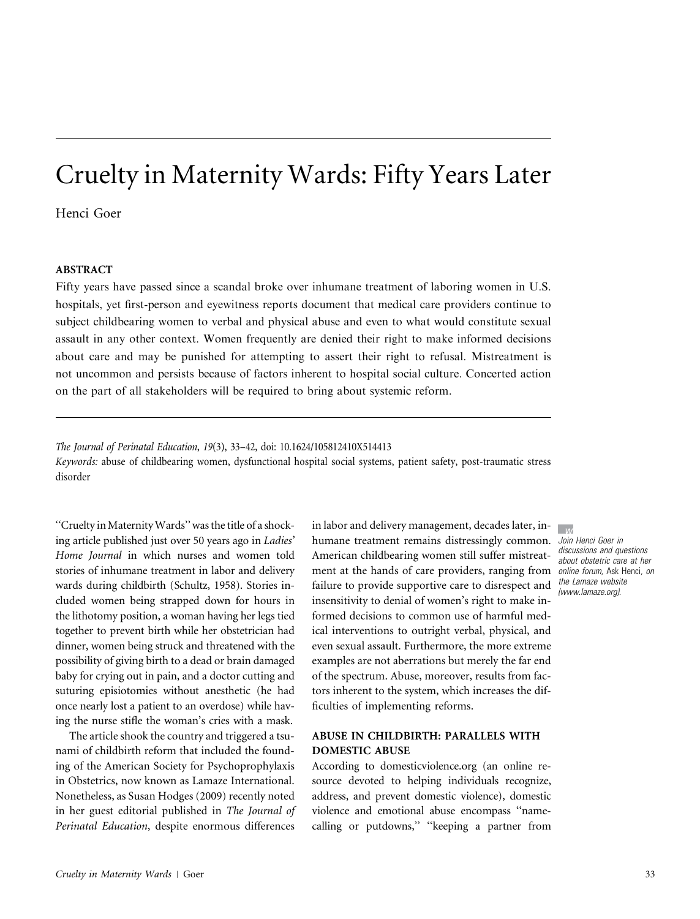# Cruelty in Maternity Wards: Fifty Years Later

Henci Goer

## ABSTRACT

Fifty years have passed since a scandal broke over inhumane treatment of laboring women in U.S. hospitals, yet first-person and eyewitness reports document that medical care providers continue to subject childbearing women to verbal and physical abuse and even to what would constitute sexual assault in any other context. Women frequently are denied their right to make informed decisions about care and may be punished for attempting to assert their right to refusal. Mistreatment is not uncommon and persists because of factors inherent to hospital social culture. Concerted action on the part of all stakeholders will be required to bring about systemic reform.

#### The Journal of Perinatal Education, 19(3), 33–42, doi: 10.1624/105812410X514413

Keywords: abuse of childbearing women, dysfunctional hospital social systems, patient safety, post-traumatic stress disorder

''Cruelty in Maternity Wards'' was the title of a shocking article published just over 50 years ago in Ladies' Home Journal in which nurses and women told stories of inhumane treatment in labor and delivery wards during childbirth (Schultz, 1958). Stories included women being strapped down for hours in the lithotomy position, a woman having her legs tied together to prevent birth while her obstetrician had dinner, women being struck and threatened with the possibility of giving birth to a dead or brain damaged baby for crying out in pain, and a doctor cutting and suturing episiotomies without anesthetic (he had once nearly lost a patient to an overdose) while having the nurse stifle the woman's cries with a mask.

The article shook the country and triggered a tsunami of childbirth reform that included the founding of the American Society for Psychoprophylaxis in Obstetrics, now known as Lamaze International. Nonetheless, as Susan Hodges (2009) recently noted in her guest editorial published in The Journal of Perinatal Education, despite enormous differences

in labor and delivery management, decades later, inhumane treatment remains distressingly common. Join Henci Goer in American childbearing women still suffer mistreatment at the hands of care providers, ranging from failure to provide supportive care to disrespect and insensitivity to denial of women's right to make informed decisions to common use of harmful medical interventions to outright verbal, physical, and even sexual assault. Furthermore, the more extreme examples are not aberrations but merely the far end of the spectrum. Abuse, moreover, results from factors inherent to the system, which increases the difficulties of implementing reforms.

## ABUSE IN CHILDBIRTH: PARALLELS WITH DOMESTIC ABUSE

According to domesticviolence.org (an online resource devoted to helping individuals recognize, address, and prevent domestic violence), domestic violence and emotional abuse encompass ''namecalling or putdowns,'' ''keeping a partner from

#### $W$

discussions and questions about obstetric care at her online forum, Ask Henci, on the Lamaze website (www.lamaze.org).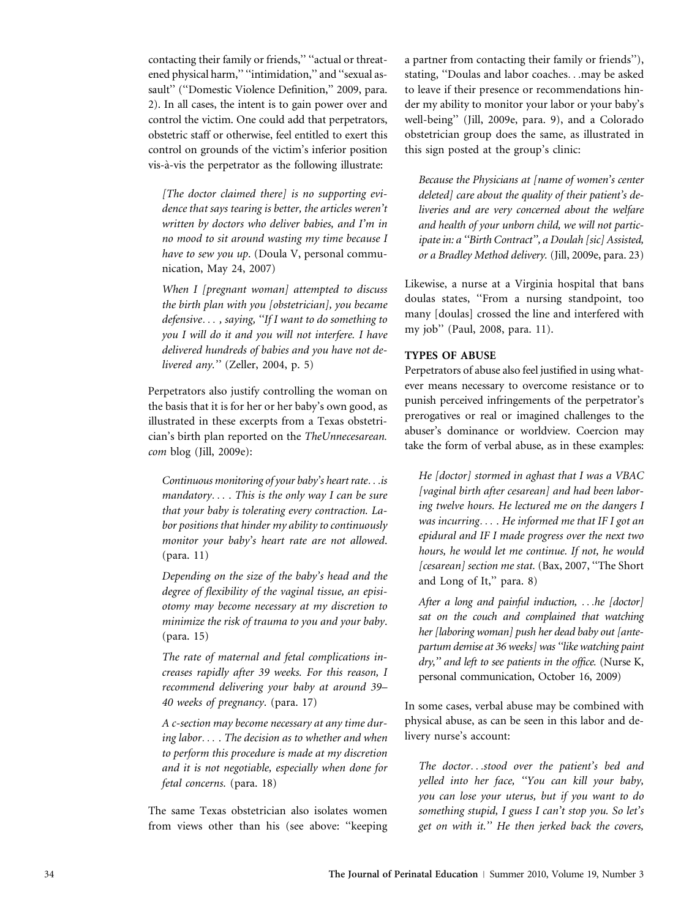contacting their family or friends," "actual or threatened physical harm," "intimidation," and "sexual assault" ("Domestic Violence Definition," 2009, para. 2). In all cases, the intent is to gain power over and control the victim. One could add that perpetrators, obstetric staff or otherwise, feel entitled to exert this control on grounds of the victim's inferior position vis-a`-vis the perpetrator as the following illustrate:

 $[The doctor claimed there] is no supporting evi$ dence that says tearing is better, the articles weren't written by doctors who deliver babies, and I'm in no mood to sit around wasting my time because I have to sew you up. (Doula V, personal communication, May 24, 2007)

When I [pregnant woman] attempted to discuss the birth plan with you [obstetrician], you became defensive... , saying, ''If I want to do something to you I will do it and you will not interfere. I have delivered hundreds of babies and you have not delivered any.'' (Zeller, 2004, p. 5)

Perpetrators also justify controlling the woman on the basis that it is for her or her baby's own good, as illustrated in these excerpts from a Texas obstetrician's birth plan reported on the TheUnnecesarean. com blog (Jill, 2009e):

Continuous monitoring of your baby's heart rate...is mandatory.... This is the only way I can be sure that your baby is tolerating every contraction. Labor positions that hinder my ability to continuously monitor your baby's heart rate are not allowed. (para. 11)

Depending on the size of the baby's head and the degree of flexibility of the vaginal tissue, an episiotomy may become necessary at my discretion to minimize the risk of trauma to you and your baby. (para. 15)

The rate of maternal and fetal complications increases rapidly after 39 weeks. For this reason, I recommend delivering your baby at around 39– 40 weeks of pregnancy. (para. 17)

A c-section may become necessary at any time during labor... . The decision as to whether and when to perform this procedure is made at my discretion and it is not negotiable, especially when done for fetal concerns. (para. 18)

The same Texas obstetrician also isolates women from views other than his (see above: ''keeping a partner from contacting their family or friends''), stating, ''Doulas and labor coaches...may be asked to leave if their presence or recommendations hinder my ability to monitor your labor or your baby's well-being'' (Jill, 2009e, para. 9), and a Colorado obstetrician group does the same, as illustrated in this sign posted at the group's clinic:

Because the Physicians at [name of women's center deleted] care about the quality of their patient's deliveries and are very concerned about the welfare and health of your unborn child, we will not participate in: a ''Birth Contract'', a Doulah [sic] Assisted, or a Bradley Method delivery. (Jill, 2009e, para. 23)

Likewise, a nurse at a Virginia hospital that bans doulas states, ''From a nursing standpoint, too many [doulas] crossed the line and interfered with my job'' (Paul, 2008, para. 11).

## TYPES OF ABUSE

Perpetrators of abuse also feel justified in using whatever means necessary to overcome resistance or to punish perceived infringements of the perpetrator's prerogatives or real or imagined challenges to the abuser's dominance or worldview. Coercion may take the form of verbal abuse, as in these examples:

He [doctor] stormed in aghast that I was a VBAC [vaginal birth after cesarean] and had been laboring twelve hours. He lectured me on the dangers I was incurring... . He informed me that IF I got an epidural and IF I made progress over the next two hours, he would let me continue. If not, he would [cesarean] section me stat. (Bax, 2007, "The Short and Long of It,'' para. 8)

After a long and painful induction, ...he [doctor] sat on the couch and complained that watching her [laboring woman] push her dead baby out [antepartum demise at 36 weeks] was ''like watching paint dry,'' and left to see patients in the office. (Nurse K, personal communication, October 16, 2009)

In some cases, verbal abuse may be combined with physical abuse, as can be seen in this labor and delivery nurse's account:

The doctor...stood over the patient's bed and yelled into her face, ''You can kill your baby, you can lose your uterus, but if you want to do something stupid, I guess I can't stop you. So let's get on with it.'' He then jerked back the covers,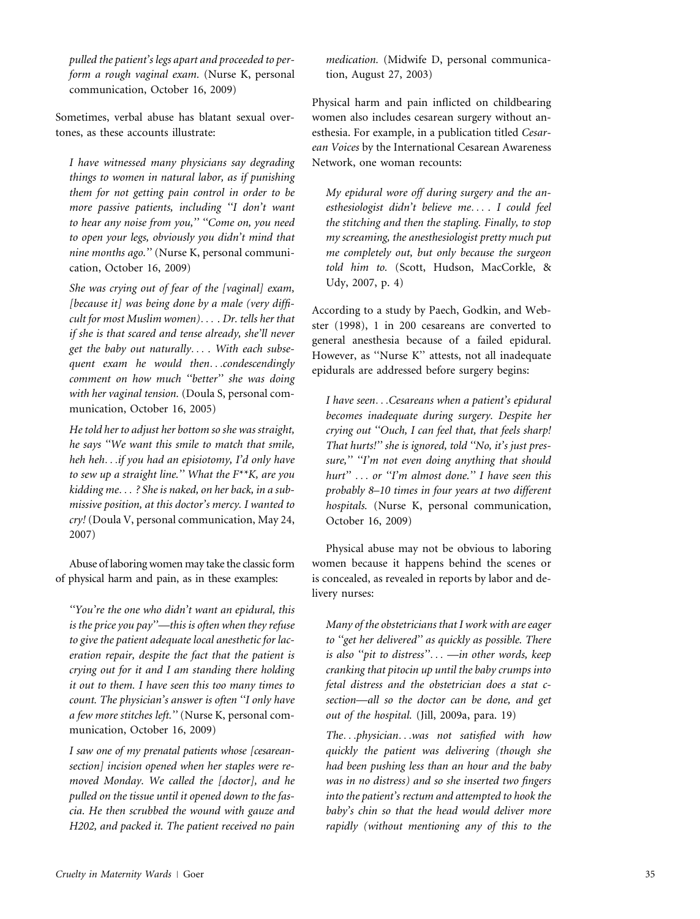pulled the patient's legs apart and proceeded to perform a rough vaginal exam. (Nurse K, personal communication, October 16, 2009)

Sometimes, verbal abuse has blatant sexual overtones, as these accounts illustrate:

I have witnessed many physicians say degrading things to women in natural labor, as if punishing them for not getting pain control in order to be more passive patients, including ''I don't want to hear any noise from you,'' ''Come on, you need to open your legs, obviously you didn't mind that nine months ago.'' (Nurse K, personal communication, October 16, 2009)

She was crying out of fear of the [vaginal] exam, [because it] was being done by a male (very difficult for most Muslim women)... . Dr. tells her that if she is that scared and tense already, she'll never get the baby out naturally... . With each subsequent exam he would then...condescendingly comment on how much ''better'' she was doing with her vaginal tension. (Doula S, personal communication, October 16, 2005)

He told her to adjust her bottom so she was straight, he says ''We want this smile to match that smile, heh heh...if you had an episiotomy, I'd only have to sew up a straight line." What the  $F^{**}K$ , are you kidding me... ? She is naked, on her back, in a submissive position, at this doctor's mercy. I wanted to cry! (Doula V, personal communication, May 24, 2007)

Abuse of laboring women may take the classic form of physical harm and pain, as in these examples:

''You're the one who didn't want an epidural, this is the price you pay''—this is often when they refuse to give the patient adequate local anesthetic for laceration repair, despite the fact that the patient is crying out for it and I am standing there holding it out to them. I have seen this too many times to count. The physician's answer is often ''I only have a few more stitches left.'' (Nurse K, personal communication, October 16, 2009)

I saw one of my prenatal patients whose [cesareansection] incision opened when her staples were removed Monday. We called the [doctor], and he pulled on the tissue until it opened down to the fascia. He then scrubbed the wound with gauze and H202, and packed it. The patient received no pain medication. (Midwife D, personal communication, August 27, 2003)

Physical harm and pain inflicted on childbearing women also includes cesarean surgery without anesthesia. For example, in a publication titled Cesarean Voices by the International Cesarean Awareness Network, one woman recounts:

My epidural wore off during surgery and the anesthesiologist didn't believe me... . I could feel the stitching and then the stapling. Finally, to stop my screaming, the anesthesiologist pretty much put me completely out, but only because the surgeon told him to. (Scott, Hudson, MacCorkle, & Udy, 2007, p. 4)

According to a study by Paech, Godkin, and Webster (1998), 1 in 200 cesareans are converted to general anesthesia because of a failed epidural. However, as ''Nurse K'' attests, not all inadequate epidurals are addressed before surgery begins:

I have seen...Cesareans when a patient's epidural becomes inadequate during surgery. Despite her crying out ''Ouch, I can feel that, that feels sharp! That hurts!'' she is ignored, told ''No, it's just pressure," "I'm not even doing anything that should hurt" ... or "I'm almost done." I have seen this probably 8–10 times in four years at two different hospitals. (Nurse K, personal communication, October 16, 2009)

Physical abuse may not be obvious to laboring women because it happens behind the scenes or is concealed, as revealed in reports by labor and delivery nurses:

Many of the obstetricians that I work with are eager to ''get her delivered'' as quickly as possible. There is also ''pit to distress''... —in other words, keep cranking that pitocin up until the baby crumps into fetal distress and the obstetrician does a stat csection—all so the doctor can be done, and get out of the hospital. (Jill, 2009a, para. 19)

The...physician...was not satisfied with how quickly the patient was delivering (though she had been pushing less than an hour and the baby was in no distress) and so she inserted two fingers into the patient's rectum and attempted to hook the baby's chin so that the head would deliver more rapidly (without mentioning any of this to the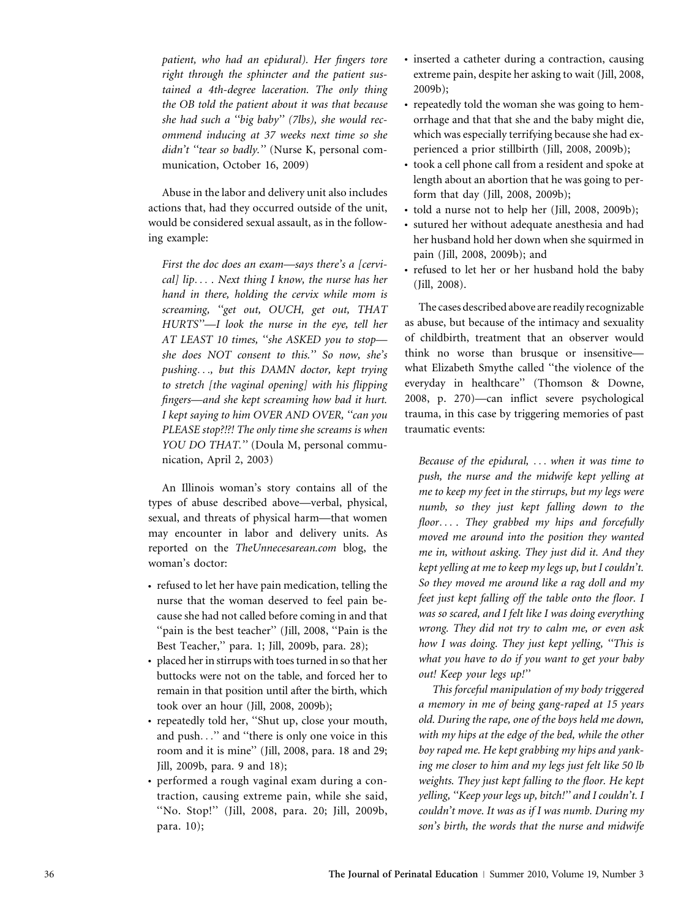patient, who had an epidural). Her fingers tore right through the sphincter and the patient sustained a 4th-degree laceration. The only thing the OB told the patient about it was that because she had such a ''big baby'' (7lbs), she would recommend inducing at 37 weeks next time so she didn't "tear so badly." (Nurse K, personal communication, October 16, 2009)

Abuse in the labor and delivery unit also includes actions that, had they occurred outside of the unit, would be considered sexual assault, as in the following example:

First the doc does an exam—says there's a [cervical] lip... . Next thing I know, the nurse has her hand in there, holding the cervix while mom is screaming, "get out, OUCH, get out, THAT HURTS''—I look the nurse in the eye, tell her AT LEAST 10 times, ''she ASKED you to stop she does NOT consent to this.'' So now, she's pushing..., but this DAMN doctor, kept trying to stretch [the vaginal opening] with his flipping fingers—and she kept screaming how bad it hurt. I kept saying to him OVER AND OVER, ''can you PLEASE stop?!?! The only time she screams is when YOU DO THAT." (Doula M, personal communication, April 2, 2003)

An Illinois woman's story contains all of the types of abuse described above—verbal, physical, sexual, and threats of physical harm—that women may encounter in labor and delivery units. As reported on the TheUnnecesarean.com blog, the woman's doctor:

- refused to let her have pain medication, telling the nurse that the woman deserved to feel pain because she had not called before coming in and that "pain is the best teacher" (Jill, 2008, "Pain is the Best Teacher,'' para. 1; Jill, 2009b, para. 28);
- placed her in stirrups with toes turned in so that her buttocks were not on the table, and forced her to remain in that position until after the birth, which took over an hour (Jill, 2008, 2009b);
- repeatedly told her, "Shut up, close your mouth, and push...'' and ''there is only one voice in this room and it is mine'' (Jill, 2008, para. 18 and 29; Jill, 2009b, para. 9 and 18);
- performed a rough vaginal exam during a contraction, causing extreme pain, while she said, ''No. Stop!'' (Jill, 2008, para. 20; Jill, 2009b, para. 10);
- inserted a catheter during a contraction, causing extreme pain, despite her asking to wait (Jill, 2008, 2009b);
- repeatedly told the woman she was going to hemorrhage and that that she and the baby might die, which was especially terrifying because she had experienced a prior stillbirth (Jill, 2008, 2009b);
- took a cell phone call from a resident and spoke at length about an abortion that he was going to perform that day (Jill, 2008, 2009b);
- told a nurse not to help her (Jill, 2008, 2009b);
- sutured her without adequate anesthesia and had her husband hold her down when she squirmed in pain (Jill, 2008, 2009b); and
- refused to let her or her husband hold the baby (Jill, 2008).

The cases described above are readily recognizable as abuse, but because of the intimacy and sexuality of childbirth, treatment that an observer would think no worse than brusque or insensitive what Elizabeth Smythe called ''the violence of the everyday in healthcare'' (Thomson & Downe, 2008, p. 270)—can inflict severe psychological trauma, in this case by triggering memories of past traumatic events:

Because of the epidural, ... when it was time to push, the nurse and the midwife kept yelling at me to keep my feet in the stirrups, but my legs were numb, so they just kept falling down to the floor.... They grabbed my hips and forcefully moved me around into the position they wanted me in, without asking. They just did it. And they kept yelling at me to keep my legs up, but I couldn't. So they moved me around like a rag doll and my feet just kept falling off the table onto the floor. I was so scared, and I felt like I was doing everything wrong. They did not try to calm me, or even ask how I was doing. They just kept yelling, ''This is what you have to do if you want to get your baby out! Keep your legs up!''

This forceful manipulation of my body triggered a memory in me of being gang-raped at 15 years old. During the rape, one of the boys held me down, with my hips at the edge of the bed, while the other boy raped me. He kept grabbing my hips and yanking me closer to him and my legs just felt like 50 lb weights. They just kept falling to the floor. He kept yelling, ''Keep your legs up, bitch!'' and I couldn't. I couldn't move. It was as if I was numb. During my son's birth, the words that the nurse and midwife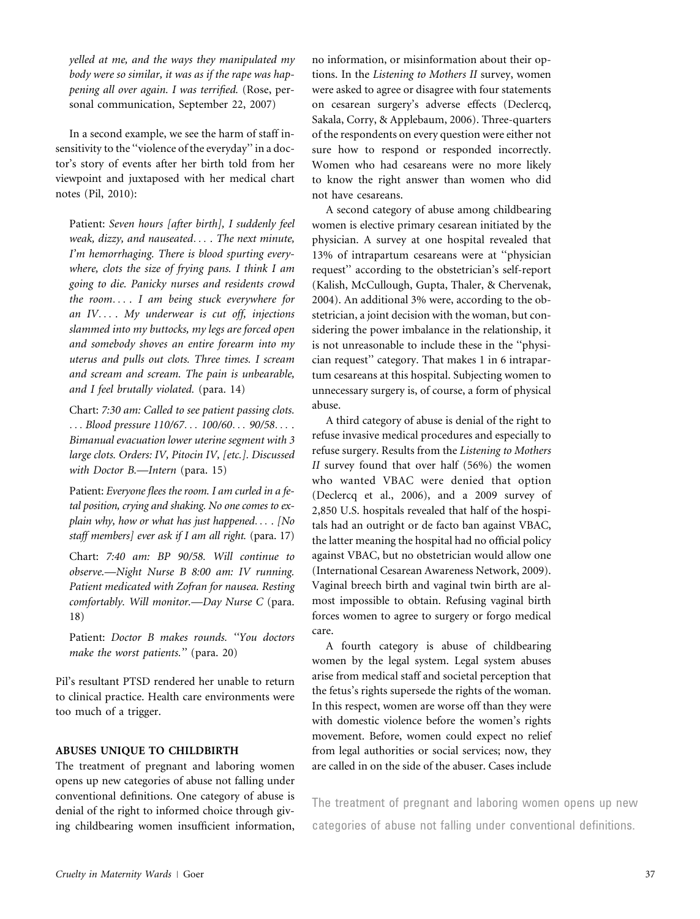yelled at me, and the ways they manipulated my body were so similar, it was as if the rape was happening all over again. I was terrified. (Rose, personal communication, September 22, 2007)

In a second example, we see the harm of staff insensitivity to the ''violence of the everyday'' in a doctor's story of events after her birth told from her viewpoint and juxtaposed with her medical chart notes (Pil, 2010):

Patient: Seven hours [after birth], I suddenly feel weak, dizzy, and nauseated... . The next minute, I'm hemorrhaging. There is blood spurting everywhere, clots the size of frying pans. I think I am going to die. Panicky nurses and residents crowd the room... . I am being stuck everywhere for an IV... . My underwear is cut off, injections slammed into my buttocks, my legs are forced open and somebody shoves an entire forearm into my uterus and pulls out clots. Three times. I scream and scream and scream. The pain is unbearable, and I feel brutally violated. (para. 14)

Chart: 7:30 am: Called to see patient passing clots. ... Blood pressure 110/67... 100/60... 90/58... . Bimanual evacuation lower uterine segment with 3 large clots. Orders: IV, Pitocin IV, [etc.]. Discussed with Doctor B.—Intern (para. 15)

Patient: Everyone flees the room. I am curled in a fetal position, crying and shaking. No one comes to explain why, how or what has just happened....  $[No]$ staff members] ever ask if I am all right. (para. 17)

Chart: 7:40 am: BP 90/58. Will continue to observe.—Night Nurse B 8:00 am: IV running. Patient medicated with Zofran for nausea. Resting comfortably. Will monitor.—Day Nurse C (para. 18)

Patient: Doctor B makes rounds. ''You doctors make the worst patients." (para. 20)

Pil's resultant PTSD rendered her unable to return to clinical practice. Health care environments were too much of a trigger.

#### ABUSES UNIQUE TO CHILDBIRTH

The treatment of pregnant and laboring women opens up new categories of abuse not falling under conventional definitions. One category of abuse is denial of the right to informed choice through giving childbearing women insufficient information, no information, or misinformation about their options. In the Listening to Mothers II survey, women were asked to agree or disagree with four statements on cesarean surgery's adverse effects (Declercq, Sakala, Corry, & Applebaum, 2006). Three-quarters of the respondents on every question were either not sure how to respond or responded incorrectly. Women who had cesareans were no more likely to know the right answer than women who did not have cesareans.

A second category of abuse among childbearing women is elective primary cesarean initiated by the physician. A survey at one hospital revealed that 13% of intrapartum cesareans were at ''physician request'' according to the obstetrician's self-report (Kalish, McCullough, Gupta, Thaler, & Chervenak, 2004). An additional 3% were, according to the obstetrician, a joint decision with the woman, but considering the power imbalance in the relationship, it is not unreasonable to include these in the ''physician request'' category. That makes 1 in 6 intrapartum cesareans at this hospital. Subjecting women to unnecessary surgery is, of course, a form of physical abuse.

A third category of abuse is denial of the right to refuse invasive medical procedures and especially to refuse surgery. Results from the Listening to Mothers II survey found that over half (56%) the women who wanted VBAC were denied that option (Declercq et al., 2006), and a 2009 survey of 2,850 U.S. hospitals revealed that half of the hospitals had an outright or de facto ban against VBAC, the latter meaning the hospital had no official policy against VBAC, but no obstetrician would allow one (International Cesarean Awareness Network, 2009). Vaginal breech birth and vaginal twin birth are almost impossible to obtain. Refusing vaginal birth forces women to agree to surgery or forgo medical care.

A fourth category is abuse of childbearing women by the legal system. Legal system abuses arise from medical staff and societal perception that the fetus's rights supersede the rights of the woman. In this respect, women are worse off than they were with domestic violence before the women's rights movement. Before, women could expect no relief from legal authorities or social services; now, they are called in on the side of the abuser. Cases include

The treatment of pregnant and laboring women opens up new categories of abuse not falling under conventional definitions.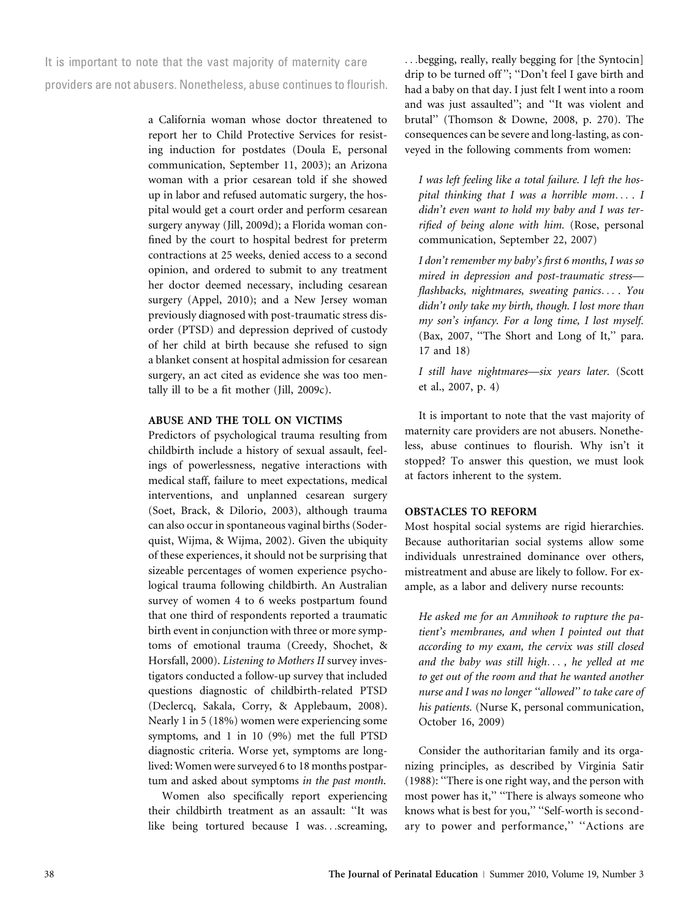It is important to note that the vast majority of maternity care providers are not abusers. Nonetheless, abuse continues to flourish.

> a California woman whose doctor threatened to report her to Child Protective Services for resisting induction for postdates (Doula E, personal communication, September 11, 2003); an Arizona woman with a prior cesarean told if she showed up in labor and refused automatic surgery, the hospital would get a court order and perform cesarean surgery anyway (Jill, 2009d); a Florida woman confined by the court to hospital bedrest for preterm contractions at 25 weeks, denied access to a second opinion, and ordered to submit to any treatment her doctor deemed necessary, including cesarean surgery (Appel, 2010); and a New Jersey woman previously diagnosed with post-traumatic stress disorder (PTSD) and depression deprived of custody of her child at birth because she refused to sign a blanket consent at hospital admission for cesarean surgery, an act cited as evidence she was too mentally ill to be a fit mother (Jill, 2009c).

## ABUSE AND THE TOLL ON VICTIMS

Predictors of psychological trauma resulting from childbirth include a history of sexual assault, feelings of powerlessness, negative interactions with medical staff, failure to meet expectations, medical interventions, and unplanned cesarean surgery (Soet, Brack, & Dilorio, 2003), although trauma can also occur in spontaneous vaginal births (Soderquist, Wijma, & Wijma, 2002). Given the ubiquity of these experiences, it should not be surprising that sizeable percentages of women experience psychological trauma following childbirth. An Australian survey of women 4 to 6 weeks postpartum found that one third of respondents reported a traumatic birth event in conjunction with three or more symptoms of emotional trauma (Creedy, Shochet, & Horsfall, 2000). Listening to Mothers II survey investigators conducted a follow-up survey that included questions diagnostic of childbirth-related PTSD (Declercq, Sakala, Corry, & Applebaum, 2008). Nearly 1 in 5 (18%) women were experiencing some symptoms, and 1 in 10 (9%) met the full PTSD diagnostic criteria. Worse yet, symptoms are longlived: Women were surveyed 6 to 18 months postpartum and asked about symptoms in the past month.

Women also specifically report experiencing their childbirth treatment as an assault: ''It was like being tortured because I was...screaming,

...begging, really, really begging for [the Syntocin] drip to be turned off"; "Don't feel I gave birth and had a baby on that day. I just felt I went into a room and was just assaulted''; and ''It was violent and brutal'' (Thomson & Downe, 2008, p. 270). The consequences can be severe and long-lasting, as conveyed in the following comments from women:

I was left feeling like a total failure. I left the hospital thinking that I was a horrible mom... . I didn't even want to hold my baby and I was terrified of being alone with him. (Rose, personal communication, September 22, 2007)

I don't remember my baby's first 6 months, I was so mired in depression and post-traumatic stress flashbacks, nightmares, sweating panics... . You didn't only take my birth, though. I lost more than my son's infancy. For a long time, I lost myself. (Bax, 2007, ''The Short and Long of It,'' para. 17 and 18)

I still have nightmares—six years later. (Scott et al., 2007, p. 4)

It is important to note that the vast majority of maternity care providers are not abusers. Nonetheless, abuse continues to flourish. Why isn't it stopped? To answer this question, we must look at factors inherent to the system.

### OBSTACLES TO REFORM

Most hospital social systems are rigid hierarchies. Because authoritarian social systems allow some individuals unrestrained dominance over others, mistreatment and abuse are likely to follow. For example, as a labor and delivery nurse recounts:

He asked me for an Amnihook to rupture the patient's membranes, and when I pointed out that according to my exam, the cervix was still closed and the baby was still high... , he yelled at me to get out of the room and that he wanted another nurse and I was no longer ''allowed'' to take care of his patients. (Nurse K, personal communication, October 16, 2009)

Consider the authoritarian family and its organizing principles, as described by Virginia Satir (1988): ''There is one right way, and the person with most power has it," "There is always someone who knows what is best for you,'' ''Self-worth is secondary to power and performance," "Actions are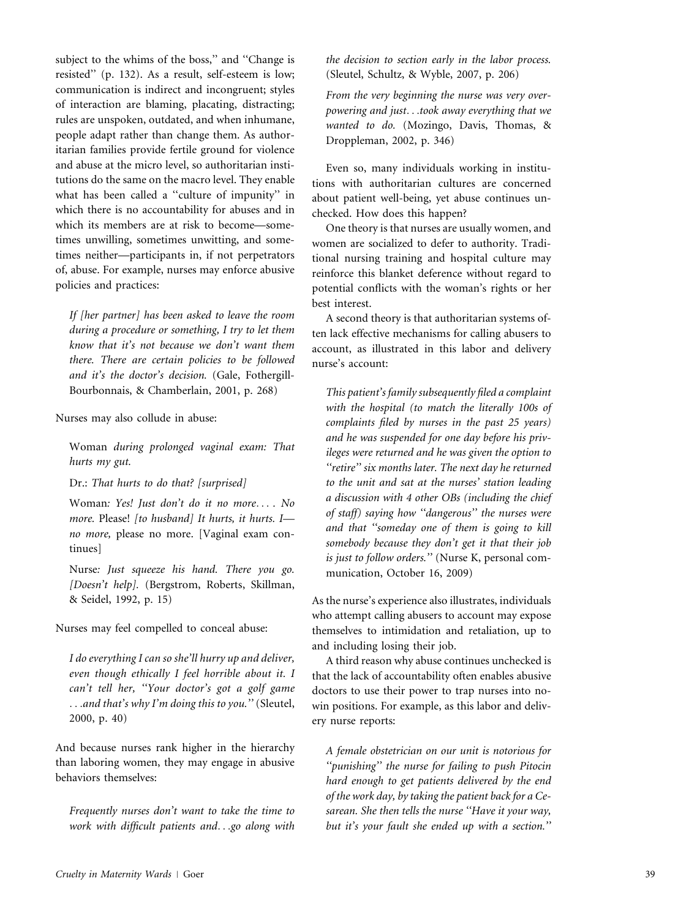subject to the whims of the boss," and "Change is resisted'' (p. 132). As a result, self-esteem is low; communication is indirect and incongruent; styles of interaction are blaming, placating, distracting; rules are unspoken, outdated, and when inhumane, people adapt rather than change them. As authoritarian families provide fertile ground for violence and abuse at the micro level, so authoritarian institutions do the same on the macro level. They enable what has been called a ''culture of impunity'' in which there is no accountability for abuses and in which its members are at risk to become—sometimes unwilling, sometimes unwitting, and sometimes neither—participants in, if not perpetrators of, abuse. For example, nurses may enforce abusive policies and practices:

If [her partner] has been asked to leave the room during a procedure or something, I try to let them know that it's not because we don't want them there. There are certain policies to be followed and it's the doctor's decision. (Gale, Fothergill-Bourbonnais, & Chamberlain, 2001, p. 268)

Nurses may also collude in abuse:

Woman during prolonged vaginal exam: That hurts my gut.

Dr.: That hurts to do that? [surprised]

Woman: Yes! Just don't do it no more... . No more. Please! [to husband] It hurts, it hurts. Ino more, please no more. [Vaginal exam continues]

Nurse: Just squeeze his hand. There you go. [Doesn't help]. (Bergstrom, Roberts, Skillman, & Seidel, 1992, p. 15)

Nurses may feel compelled to conceal abuse:

I do everything I can so she'll hurry up and deliver, even though ethically I feel horrible about it. I can't tell her, ''Your doctor's got a golf game ...and that's why I'm doing this to you.'' (Sleutel, 2000, p. 40)

And because nurses rank higher in the hierarchy than laboring women, they may engage in abusive behaviors themselves:

Frequently nurses don't want to take the time to work with difficult patients and...go along with the decision to section early in the labor process. (Sleutel, Schultz, & Wyble, 2007, p. 206)

From the very beginning the nurse was very overpowering and just...took away everything that we wanted to do. (Mozingo, Davis, Thomas, & Droppleman, 2002, p. 346)

Even so, many individuals working in institutions with authoritarian cultures are concerned about patient well-being, yet abuse continues unchecked. How does this happen?

One theory is that nurses are usually women, and women are socialized to defer to authority. Traditional nursing training and hospital culture may reinforce this blanket deference without regard to potential conflicts with the woman's rights or her best interest.

A second theory is that authoritarian systems often lack effective mechanisms for calling abusers to account, as illustrated in this labor and delivery nurse's account:

This patient's family subsequently filed a complaint with the hospital (to match the literally 100s of complaints filed by nurses in the past 25 years) and he was suspended for one day before his privileges were returned and he was given the option to "retire" six months later. The next day he returned to the unit and sat at the nurses' station leading a discussion with 4 other OBs (including the chief of staff) saying how ''dangerous'' the nurses were and that ''someday one of them is going to kill somebody because they don't get it that their job is just to follow orders.'' (Nurse K, personal communication, October 16, 2009)

As the nurse's experience also illustrates, individuals who attempt calling abusers to account may expose themselves to intimidation and retaliation, up to and including losing their job.

A third reason why abuse continues unchecked is that the lack of accountability often enables abusive doctors to use their power to trap nurses into nowin positions. For example, as this labor and delivery nurse reports:

A female obstetrician on our unit is notorious for ''punishing'' the nurse for failing to push Pitocin hard enough to get patients delivered by the end of the work day, by taking the patient back for a Cesarean. She then tells the nurse ''Have it your way, but it's your fault she ended up with a section.''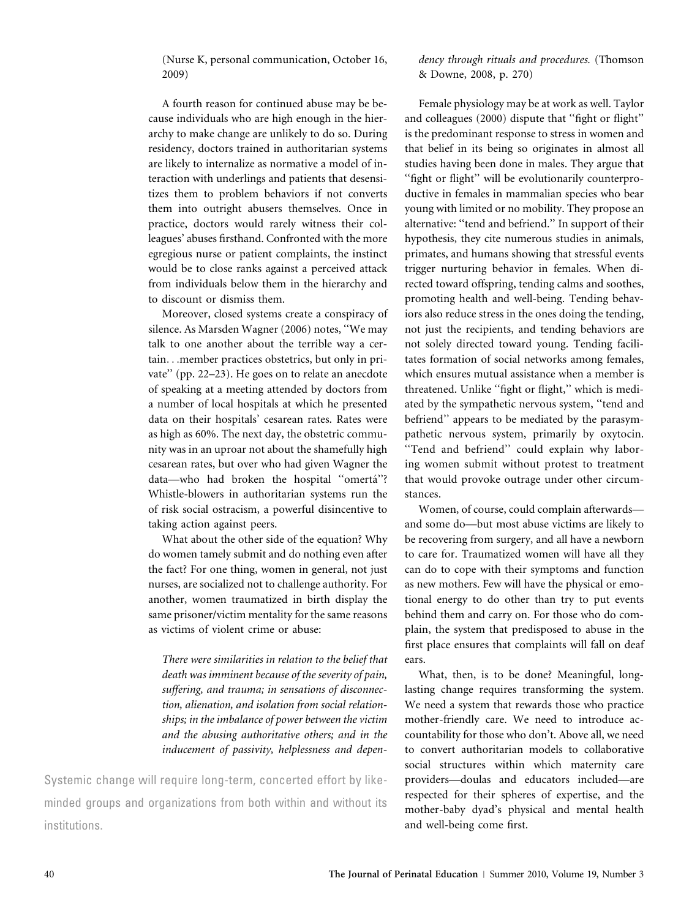## (Nurse K, personal communication, October 16, 2009)

A fourth reason for continued abuse may be because individuals who are high enough in the hierarchy to make change are unlikely to do so. During residency, doctors trained in authoritarian systems are likely to internalize as normative a model of interaction with underlings and patients that desensitizes them to problem behaviors if not converts them into outright abusers themselves. Once in practice, doctors would rarely witness their colleagues' abuses firsthand. Confronted with the more egregious nurse or patient complaints, the instinct would be to close ranks against a perceived attack from individuals below them in the hierarchy and to discount or dismiss them.

Moreover, closed systems create a conspiracy of silence. As Marsden Wagner (2006) notes, ''We may talk to one another about the terrible way a certain...member practices obstetrics, but only in private'' (pp. 22–23). He goes on to relate an anecdote of speaking at a meeting attended by doctors from a number of local hospitals at which he presented data on their hospitals' cesarean rates. Rates were as high as 60%. The next day, the obstetric community was in an uproar not about the shamefully high cesarean rates, but over who had given Wagner the data-who had broken the hospital "omertá"? Whistle-blowers in authoritarian systems run the of risk social ostracism, a powerful disincentive to taking action against peers.

What about the other side of the equation? Why do women tamely submit and do nothing even after the fact? For one thing, women in general, not just nurses, are socialized not to challenge authority. For another, women traumatized in birth display the same prisoner/victim mentality for the same reasons as victims of violent crime or abuse:

There were similarities in relation to the belief that death was imminent because of the severity of pain, suffering, and trauma; in sensations of disconnection, alienation, and isolation from social relationships; in the imbalance of power between the victim and the abusing authoritative others; and in the inducement of passivity, helplessness and depen-

Systemic change will require long-term, concerted effort by likeminded groups and organizations from both within and without its institutions.

## dency through rituals and procedures. (Thomson & Downe, 2008, p. 270)

Female physiology may be at work as well. Taylor and colleagues (2000) dispute that ''fight or flight'' is the predominant response to stress in women and that belief in its being so originates in almost all studies having been done in males. They argue that "fight or flight" will be evolutionarily counterproductive in females in mammalian species who bear young with limited or no mobility. They propose an alternative: ''tend and befriend.'' In support of their hypothesis, they cite numerous studies in animals, primates, and humans showing that stressful events trigger nurturing behavior in females. When directed toward offspring, tending calms and soothes, promoting health and well-being. Tending behaviors also reduce stress in the ones doing the tending, not just the recipients, and tending behaviors are not solely directed toward young. Tending facilitates formation of social networks among females, which ensures mutual assistance when a member is threatened. Unlike ''fight or flight,'' which is mediated by the sympathetic nervous system, ''tend and befriend'' appears to be mediated by the parasympathetic nervous system, primarily by oxytocin. ''Tend and befriend'' could explain why laboring women submit without protest to treatment that would provoke outrage under other circumstances.

Women, of course, could complain afterwards and some do—but most abuse victims are likely to be recovering from surgery, and all have a newborn to care for. Traumatized women will have all they can do to cope with their symptoms and function as new mothers. Few will have the physical or emotional energy to do other than try to put events behind them and carry on. For those who do complain, the system that predisposed to abuse in the first place ensures that complaints will fall on deaf ears.

What, then, is to be done? Meaningful, longlasting change requires transforming the system. We need a system that rewards those who practice mother-friendly care. We need to introduce accountability for those who don't. Above all, we need to convert authoritarian models to collaborative social structures within which maternity care providers—doulas and educators included—are respected for their spheres of expertise, and the mother-baby dyad's physical and mental health and well-being come first.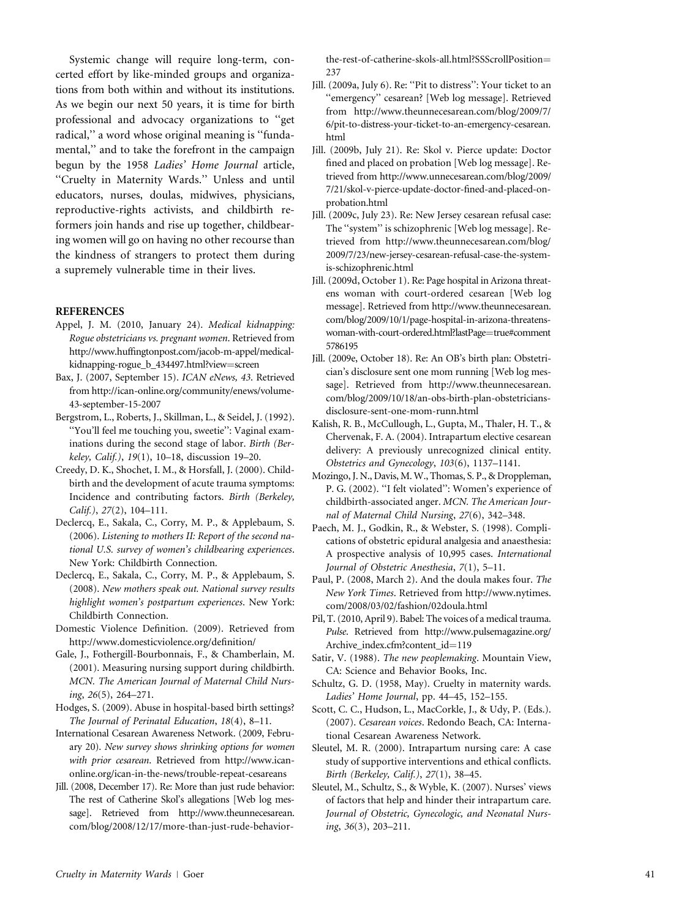Systemic change will require long-term, concerted effort by like-minded groups and organizations from both within and without its institutions. As we begin our next 50 years, it is time for birth professional and advocacy organizations to ''get radical,'' a word whose original meaning is ''fundamental,'' and to take the forefront in the campaign begun by the 1958 Ladies' Home Journal article, ''Cruelty in Maternity Wards.'' Unless and until educators, nurses, doulas, midwives, physicians, reproductive-rights activists, and childbirth reformers join hands and rise up together, childbearing women will go on having no other recourse than the kindness of strangers to protect them during a supremely vulnerable time in their lives.

#### **REFERENCES**

- Appel, J. M. (2010, January 24). Medical kidnapping: Rogue obstetricians vs. pregnant women. Retrieved from http://www.huffingtonpost.com/jacob-m-appel/medicalkidnapping-rogue\_b\_434497.html?view=screen
- Bax, J. (2007, September 15). ICAN eNews, 43. Retrieved from http://ican-online.org/community/enews/volume-43-september-15-2007
- Bergstrom, L., Roberts, J., Skillman, L., & Seidel, J. (1992). ''You'll feel me touching you, sweetie'': Vaginal examinations during the second stage of labor. Birth (Berkeley, Calif.), 19(1), 10–18, discussion 19–20.
- Creedy, D. K., Shochet, I. M., & Horsfall, J. (2000). Childbirth and the development of acute trauma symptoms: Incidence and contributing factors. Birth (Berkeley, Calif.), 27(2), 104–111.
- Declercq, E., Sakala, C., Corry, M. P., & Applebaum, S. (2006). Listening to mothers II: Report of the second national U.S. survey of women's childbearing experiences. New York: Childbirth Connection.
- Declercq, E., Sakala, C., Corry, M. P., & Applebaum, S. (2008). New mothers speak out. National survey results highlight women's postpartum experiences. New York: Childbirth Connection.
- Domestic Violence Definition. (2009). Retrieved from http://www.domesticviolence.org/definition/
- Gale, J., Fothergill-Bourbonnais, F., & Chamberlain, M. (2001). Measuring nursing support during childbirth. MCN. The American Journal of Maternal Child Nursing, 26(5), 264–271.
- Hodges, S. (2009). Abuse in hospital-based birth settings? The Journal of Perinatal Education, 18(4), 8–11.
- International Cesarean Awareness Network. (2009, February 20). New survey shows shrinking options for women with prior cesarean. Retrieved from http://www.icanonline.org/ican-in-the-news/trouble-repeat-cesareans
- Jill. (2008, December 17). Re: More than just rude behavior: The rest of Catherine Skol's allegations [Web log message]. Retrieved from http://www.theunnecesarean. com/blog/2008/12/17/more-than-just-rude-behavior-

the-rest-of-catherine-skols-all.html?SSScrollPosition= 237

- Jill. (2009a, July 6). Re: ''Pit to distress'': Your ticket to an ''emergency'' cesarean? [Web log message]. Retrieved from http://www.theunnecesarean.com/blog/2009/7/ 6/pit-to-distress-your-ticket-to-an-emergency-cesarean. html
- Jill. (2009b, July 21). Re: Skol v. Pierce update: Doctor fined and placed on probation [Web log message]. Retrieved from http://www.unnecesarean.com/blog/2009/ 7/21/skol-v-pierce-update-doctor-fined-and-placed-onprobation.html
- Jill. (2009c, July 23). Re: New Jersey cesarean refusal case: The ''system'' is schizophrenic [Web log message]. Retrieved from http://www.theunnecesarean.com/blog/ 2009/7/23/new-jersey-cesarean-refusal-case-the-systemis-schizophrenic.html
- Jill. (2009d, October 1). Re: Page hospital in Arizona threatens woman with court-ordered cesarean [Web log message]. Retrieved from http://www.theunnecesarean. com/blog/2009/10/1/page-hospital-in-arizona-threatenswoman-with-court-ordered.html?lastPage=true#comment 5786195
- Jill. (2009e, October 18). Re: An OB's birth plan: Obstetrician's disclosure sent one mom running [Web log message]. Retrieved from http://www.theunnecesarean. com/blog/2009/10/18/an-obs-birth-plan-obstetriciansdisclosure-sent-one-mom-runn.html
- Kalish, R. B., McCullough, L., Gupta, M., Thaler, H. T., & Chervenak, F. A. (2004). Intrapartum elective cesarean delivery: A previously unrecognized clinical entity. Obstetrics and Gynecology, 103(6), 1137–1141.
- Mozingo, J. N., Davis, M. W., Thomas, S. P., & Droppleman, P. G. (2002). ''I felt violated'': Women's experience of childbirth-associated anger. MCN. The American Journal of Maternal Child Nursing, 27(6), 342–348.
- Paech, M. J., Godkin, R., & Webster, S. (1998). Complications of obstetric epidural analgesia and anaesthesia: A prospective analysis of 10,995 cases. International Journal of Obstetric Anesthesia, 7(1), 5–11.
- Paul, P. (2008, March 2). And the doula makes four. The New York Times. Retrieved from http://www.nytimes. com/2008/03/02/fashion/02doula.html
- Pil, T. (2010, April 9). Babel: The voices of a medical trauma. Pulse. Retrieved from http://www.pulsemagazine.org/ Archive\_index.cfm?content\_id=119
- Satir, V. (1988). The new peoplemaking. Mountain View, CA: Science and Behavior Books, Inc.
- Schultz, G. D. (1958, May). Cruelty in maternity wards. Ladies' Home Journal, pp. 44–45, 152–155.
- Scott, C. C., Hudson, L., MacCorkle, J., & Udy, P. (Eds.). (2007). Cesarean voices. Redondo Beach, CA: International Cesarean Awareness Network.
- Sleutel, M. R. (2000). Intrapartum nursing care: A case study of supportive interventions and ethical conflicts. Birth (Berkeley, Calif.), 27(1), 38–45.
- Sleutel, M., Schultz, S., & Wyble, K. (2007). Nurses' views of factors that help and hinder their intrapartum care. Journal of Obstetric, Gynecologic, and Neonatal Nursing, 36(3), 203–211.